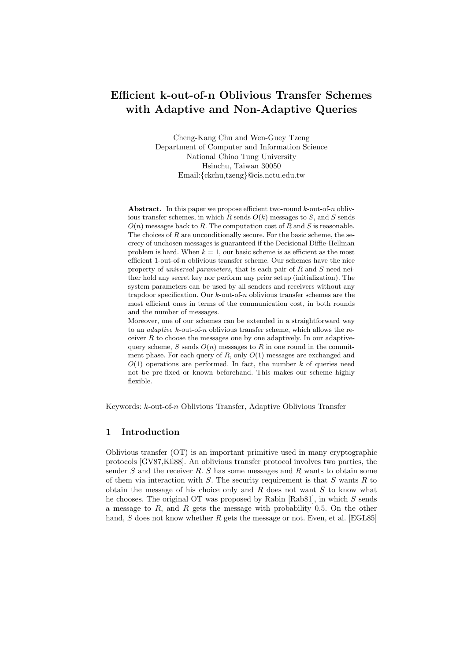# Efficient k-out-of-n Oblivious Transfer Schemes with Adaptive and Non-Adaptive Queries

Cheng-Kang Chu and Wen-Guey Tzeng Department of Computer and Information Science National Chiao Tung University Hsinchu, Taiwan 30050 Email:{ckchu,tzeng}@cis.nctu.edu.tw

Abstract. In this paper we propose efficient two-round  $k$ -out-of-n oblivious transfer schemes, in which  $R$  sends  $O(k)$  messages to  $S$ , and  $S$  sends  $O(n)$  messages back to R. The computation cost of R and S is reasonable. The choices of  $R$  are unconditionally secure. For the basic scheme, the secrecy of unchosen messages is guaranteed if the Decisional Diffie-Hellman problem is hard. When  $k = 1$ , our basic scheme is as efficient as the most efficient 1-out-of-n oblivious transfer scheme. Our schemes have the nice property of universal parameters, that is each pair of R and S need neither hold any secret key nor perform any prior setup (initialization). The system parameters can be used by all senders and receivers without any trapdoor specification. Our  $k$ -out-of-n oblivious transfer schemes are the most efficient ones in terms of the communication cost, in both rounds and the number of messages.

Moreover, one of our schemes can be extended in a straightforward way to an adaptive k-out-of-n oblivious transfer scheme, which allows the receiver  $R$  to choose the messages one by one adaptively. In our adaptivequery scheme, S sends  $O(n)$  messages to R in one round in the commitment phase. For each query of  $R$ , only  $O(1)$  messages are exchanged and  $O(1)$  operations are performed. In fact, the number k of queries need not be pre-fixed or known beforehand. This makes our scheme highly flexible.

Keywords: k-out-of-n Oblivious Transfer, Adaptive Oblivious Transfer

## 1 Introduction

Oblivious transfer (OT) is an important primitive used in many cryptographic protocols [GV87,Kil88]. An oblivious transfer protocol involves two parties, the sender  $S$  and the receiver  $R$ .  $S$  has some messages and  $R$  wants to obtain some of them via interaction with  $S$ . The security requirement is that  $S$  wants  $R$  to obtain the message of his choice only and  $R$  does not want  $S$  to know what he chooses. The original OT was proposed by Rabin [Rab81], in which S sends a message to  $R$ , and  $R$  gets the message with probability 0.5. On the other hand,  $S$  does not know whether  $R$  gets the message or not. Even, et al. [EGL85]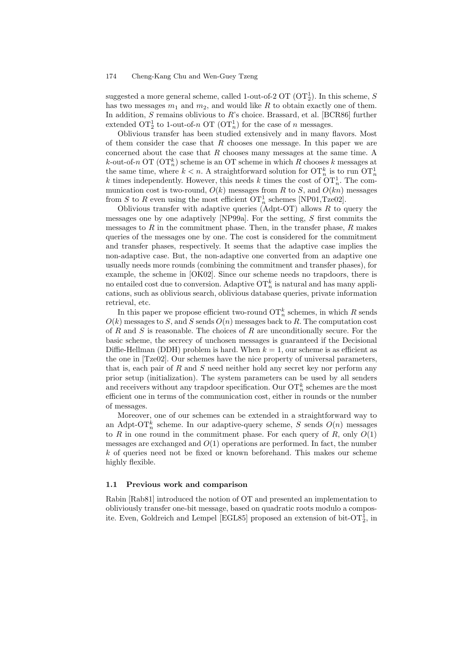suggested a more general scheme, called 1-out-of-2 OT ( $\text{OT}_2^1$ ). In this scheme, S has two messages  $m_1$  and  $m_2$ , and would like R to obtain exactly one of them. In addition,  $S$  remains oblivious to  $R$ 's choice. Brassard, et al. [BCR86] further extended  $\mathrm{OT}_2^1$  to 1-out-of-n  $\mathrm{OT}(\mathrm{OT}_n^1)$  for the case of n messages.

Oblivious transfer has been studied extensively and in many flavors. Most of them consider the case that  $R$  chooses one message. In this paper we are concerned about the case that  $R$  chooses many messages at the same time. A *k*-out-of-n OT ( $\mathrm{OT}_n^k$ ) scheme is an OT scheme in which R chooses k messages at the same time, where  $k < n$ . A straightforward solution for  $\mathrm{OT}_n^k$  is to run  $\mathrm{OT}_n^1$ k times independently. However, this needs k times the cost of  $\mathrm{OT}_n^1$ . The communication cost is two-round,  $O(k)$  messages from R to S, and  $O(kn)$  messages from S to R even using the most efficient  $\mathrm{OT}_n^1$  schemes [NP01,Tze02].

Oblivious transfer with adaptive queries (Adpt-OT) allows  $R$  to query the messages one by one adaptively [NP99a]. For the setting, S first commits the messages to  $R$  in the commitment phase. Then, in the transfer phase,  $R$  makes queries of the messages one by one. The cost is considered for the commitment and transfer phases, respectively. It seems that the adaptive case implies the non-adaptive case. But, the non-adaptive one converted from an adaptive one usually needs more rounds (combining the commitment and transfer phases), for example, the scheme in [OK02]. Since our scheme needs no trapdoors, there is no entailed cost due to conversion. Adaptive  $\mathrm{OT}_n^k$  is natural and has many applications, such as oblivious search, oblivious database queries, private information retrieval, etc.

In this paper we propose efficient two-round  $\mathrm{OT}_n^k$  schemes, in which R sends  $O(k)$  messages to S, and S sends  $O(n)$  messages back to R. The computation cost of R and S is reasonable. The choices of R are unconditionally secure. For the basic scheme, the secrecy of unchosen messages is guaranteed if the Decisional Diffie-Hellman (DDH) problem is hard. When  $k = 1$ , our scheme is as efficient as the one in [Tze02]. Our schemes have the nice property of universal parameters, that is, each pair of  $R$  and  $S$  need neither hold any secret key nor perform any prior setup (initialization). The system parameters can be used by all senders and receivers without any trapdoor specification. Our  $\mathrm{OT}_n^k$  schemes are the most efficient one in terms of the communication cost, either in rounds or the number of messages.

Moreover, one of our schemes can be extended in a straightforward way to an Adpt-O $\Gamma_n^k$  scheme. In our adaptive-query scheme, S sends  $O(n)$  messages to R in one round in the commitment phase. For each query of R, only  $O(1)$ messages are exchanged and  $O(1)$  operations are performed. In fact, the number k of queries need not be fixed or known beforehand. This makes our scheme highly flexible.

#### 1.1 Previous work and comparison

Rabin [Rab81] introduced the notion of OT and presented an implementation to obliviously transfer one-bit message, based on quadratic roots modulo a composite. Even, Goldreich and Lempel [EGL85] proposed an extension of bit- $\text{OT}_2^1$ , in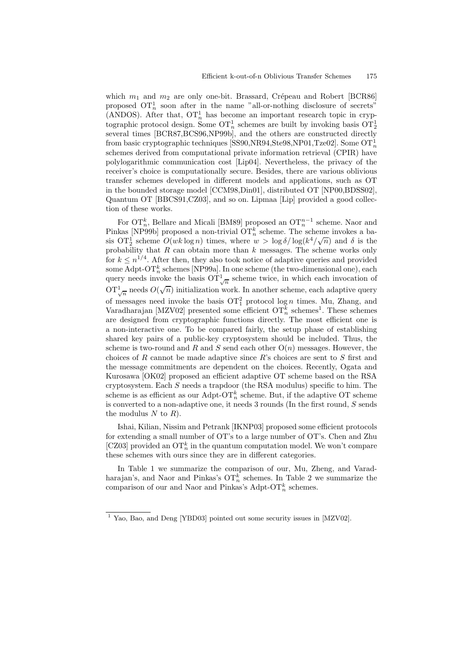which  $m_1$  and  $m_2$  are only one-bit. Brassard, Crépeau and Robert [BCR86] proposed  $\mathrm{OT}_n^1$  soon after in the name "all-or-nothing disclosure of secrets" (ANDOS). After that,  $\overline{OT}_n^1$  has become an important research topic in cryptographic protocol design. Some  $\text{OT}_n^1$  schemes are built by invoking basis  $\text{OT}_2^1$ several times [BCR87,BCS96,NP99b], and the others are constructed directly from basic cryptographic techniques [SS90,NR94,Ste98,NP01,Tze02]. Some  $\text{OT}_n^1$ schemes derived from computational private information retrieval (CPIR) have polylogarithmic communication cost [Lip04]. Nevertheless, the privacy of the receiver's choice is computationally secure. Besides, there are various oblivious transfer schemes developed in different models and applications, such as OT in the bounded storage model [CCM98,Din01], distributed OT [NP00,BDSS02], Quantum OT [BBCS91,CZ03], and so on. Lipmaa [Lip] provided a good collection of these works.

For  $\mathrm{OT}_n^k$ , Bellare and Micali [BM89] proposed an  $\mathrm{OT}_n^{n-1}$  scheme. Naor and Pinkas [NP99b] proposed a non-trivial  $\mathrm{OT}_n^k$  scheme. The scheme invokes a basis  $\overline{OT_2^1}$  scheme  $O(wk \log n)$  times, where  $w > \log \delta / \log(k^4/\sqrt{n})$  and  $\delta$  is the probability that  $R$  can obtain more than  $k$  messages. The scheme works only for  $k \leq n^{1/4}$ . After then, they also took notice of adaptive queries and provided some Adpt-O $\mathrm{T}^k_n$  schemes [NP99a]. In one scheme (the two-dimensional one), each query needs invoke the basis  $\mathrm{OT}_{\sqrt{n}}^1$  scheme twice, in which each invocation of  $\overline{\mathrm{OT}}_{\sqrt{n}}^1$  needs  $O(\sqrt{n})$  initialization work. In another scheme, each adaptive query of messages need invoke the basis  $\mathrm{OT}_1^2$  protocol log *n* times. Mu, Zhang, and Varadharajan [MZV02] presented some efficient  $\mathrm{OT}_n^k$  schemes<sup>1</sup>. These schemes are designed from cryptographic functions directly. The most efficient one is a non-interactive one. To be compared fairly, the setup phase of establishing shared key pairs of a public-key cryptosystem should be included. Thus, the scheme is two-round and R and S send each other  $O(n)$  messages. However, the choices of  $R$  cannot be made adaptive since  $R$ 's choices are sent to  $S$  first and the message commitments are dependent on the choices. Recently, Ogata and Kurosawa [OK02] proposed an efficient adaptive OT scheme based on the RSA cryptosystem. Each  $S$  needs a trapdoor (the RSA modulus) specific to him. The scheme is as efficient as our Adpt-O $\mathrm{T}_n^k$  scheme. But, if the adaptive OT scheme is converted to a non-adaptive one, it needs 3 rounds (In the first round, S sends the modulus  $N$  to  $R$ ).

Ishai, Kilian, Nissim and Petrank [IKNP03] proposed some efficient protocols for extending a small number of OT's to a large number of OT's. Chen and Zhu [CZ03] provided an  $\{OT}_n^k$  in the quantum computation model. We won't compare these schemes with ours since they are in different categories.

In Table 1 we summarize the comparison of our, Mu, Zheng, and Varadharajan's, and Naor and Pinkas's  $\mathrm{OT}_n^k$  schemes. In Table 2 we summarize the comparison of our and Naor and Pinkas's Adpt-O $\mathcal{T}_n^k$  schemes.

<sup>&</sup>lt;sup>1</sup> Yao, Bao, and Deng [YBD03] pointed out some security issues in [MZV02].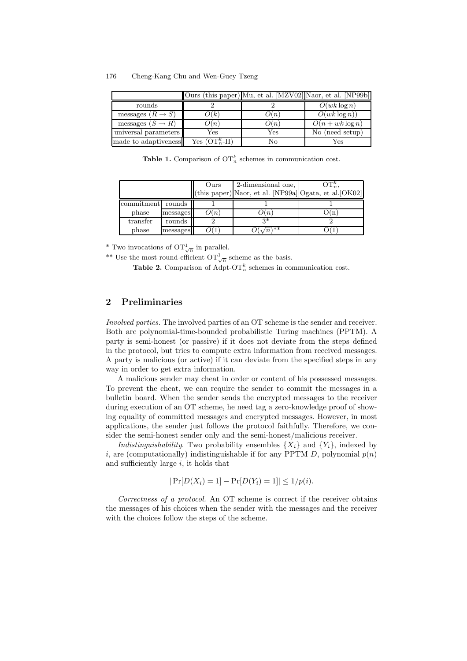| 176 | Cheng-Kang Chu and Wen-Guey Tzeng |  |  |  |
|-----|-----------------------------------|--|--|--|
|-----|-----------------------------------|--|--|--|

|                              |                   |      | Ours (this paper) Mu, et al. MZV02  Naor, et al. [NP99b] |
|------------------------------|-------------------|------|----------------------------------------------------------|
| rounds                       |                   |      | $O(wk \log n)$                                           |
| messages $(R \rightarrow S)$ | O(k)              | O(n) | $O(wk \log n)$                                           |
| messages $(S \to R)$         | O(n)              | O(n) | $O(n + wk \log n)$                                       |
| universal parameters         | Yes               | Yes  | No (need setup)                                          |
| made to adaptiveness         | Yes $(OT_n^k-II)$ | No   | Yes                                                      |

**Table 1.** Comparison of  $\mathrm{OT}_n^k$  schemes in communication cost.

|            |          | Ours | 2-dimensional one,                                                                    | $\mathrm{OT}_n^\kappa,$ |
|------------|----------|------|---------------------------------------------------------------------------------------|-------------------------|
|            |          |      | $(\text{this paper})$ Naor, et al. [NP99a] $\text{Ogata}, \text{et al.}[\text{OK02}]$ |                         |
| commitment | rounds   |      |                                                                                       |                         |
| phase      | messages | O(n) | $\lambda(n)$                                                                          |                         |
| transfer   | rounds   |      | Q*                                                                                    |                         |
| phase      | messages |      | <b>**</b><br>$\sqrt{n}$                                                               |                         |

<sup>\*</sup> Two invocations of  $\mathrm{OT}_{\sqrt{n}}^1$  in parallel.

\*\* Use the most round-efficient  $\mathrm{OT}_{\sqrt{n}}^1$  scheme as the basis.

Table 2. Comparison of Adpt-OT<sub>n</sub><sup>k</sup> schemes in communication cost.

## 2 Preliminaries

Involved parties. The involved parties of an OT scheme is the sender and receiver. Both are polynomial-time-bounded probabilistic Turing machines (PPTM). A party is semi-honest (or passive) if it does not deviate from the steps defined in the protocol, but tries to compute extra information from received messages. A party is malicious (or active) if it can deviate from the specified steps in any way in order to get extra information.

A malicious sender may cheat in order or content of his possessed messages. To prevent the cheat, we can require the sender to commit the messages in a bulletin board. When the sender sends the encrypted messages to the receiver during execution of an OT scheme, he need tag a zero-knowledge proof of showing equality of committed messages and encrypted messages. However, in most applications, the sender just follows the protocol faithfully. Therefore, we consider the semi-honest sender only and the semi-honest/malicious receiver.

*Indistinguishability*. Two probability ensembles  $\{X_i\}$  and  $\{Y_i\}$ , indexed by i, are (computationally) indistinguishable if for any PPTM D, polynomial  $p(n)$ and sufficiently large  $i$ , it holds that

 $|\Pr[D(X_i) = 1] - \Pr[D(Y_i) = 1]| \leq 1/p(i).$ 

Correctness of a protocol. An OT scheme is correct if the receiver obtains the messages of his choices when the sender with the messages and the receiver with the choices follow the steps of the scheme.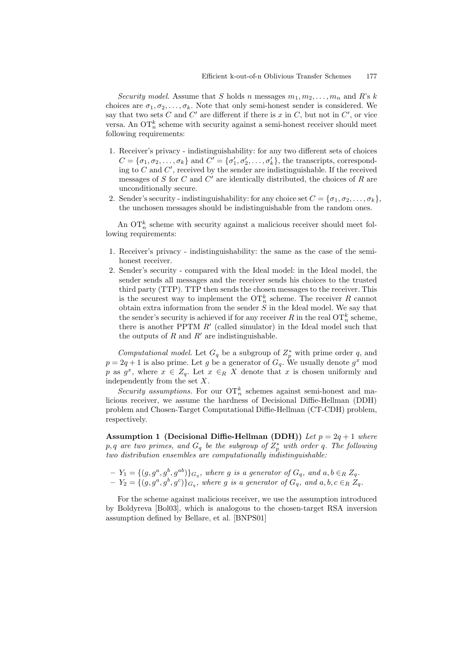Security model. Assume that S holds n messages  $m_1, m_2, \ldots, m_n$  and R's k choices are  $\sigma_1, \sigma_2, \ldots, \sigma_k$ . Note that only semi-honest sender is considered. We say that two sets C and C' are different if there is x in C, but not in C', or vice versa. An  $\mathrm{OT}_n^k$  scheme with security against a semi-honest receiver should meet following requirements:

- 1. Receiver's privacy indistinguishability: for any two different sets of choices  $C = {\sigma_1, \sigma_2, ..., \sigma_k}$  and  $C' = {\sigma'_1, \sigma'_2, ..., \sigma'_k}$ , the transcripts, corresponding to  $C$  and  $C'$ , received by the sender are indistinguishable. If the received messages of S for C and C' are identically distributed, the choices of R are unconditionally secure.
- 2. Sender's security indistinguishability: for any choice set  $C = {\sigma_1, \sigma_2, \ldots, \sigma_k}$ , the unchosen messages should be indistinguishable from the random ones.

An  $\mathrm{OT}_n^k$  scheme with security against a malicious receiver should meet following requirements:

- 1. Receiver's privacy indistinguishability: the same as the case of the semihonest receiver.
- 2. Sender's security compared with the Ideal model: in the Ideal model, the sender sends all messages and the receiver sends his choices to the trusted third party (TTP). TTP then sends the chosen messages to the receiver. This is the securest way to implement the  $\mathrm{OT}_n^k$  scheme. The receiver R cannot obtain extra information from the sender  $S$  in the Ideal model. We say that the sender's security is achieved if for any receiver  $R$  in the real  $\mathrm{OT}_n^k$  scheme, there is another PPTM  $R'$  (called simulator) in the Ideal model such that the outputs of R and  $R'$  are indistinguishable.

Computational model. Let  $G_q$  be a subgroup of  $Z_p^*$  with prime order q, and  $p = 2q + 1$  is also prime. Let g be a generator of  $G_q$ . We usually denote  $g^x$  mod p as  $g^x$ , where  $x \in Z_q$ . Let  $x \in_R X$  denote that x is chosen uniformly and independently from the set X.

Security assumptions. For our  $\{or} \in \mathbb{R}^k$  schemes against semi-honest and malicious receiver, we assume the hardness of Decisional Diffie-Hellman (DDH) problem and Chosen-Target Computational Diffie-Hellman (CT-CDH) problem, respectively.

Assumption 1 (Decisional Diffie-Hellman (DDH)) Let  $p = 2q + 1$  where  $p,q$  are two primes, and  $G_q$  be the subgroup of  $Z_p^\ast$  with order  $q$ . The following two distribution ensembles are computationally indistinguishable:

$$
-Y_1 = \{(g, g^a, g^b, g^{ab})\}_{G_q}
$$
, where  $g$  is a generator of  $G_q$ , and  $a, b \in_R Z_q$ .  
\n
$$
-Y_2 = \{(g, g^a, g^b, g^c)\}_{G_q}
$$
, where  $g$  is a generator of  $G_q$ , and  $a, b, c \in_R Z_q$ .

For the scheme against malicious receiver, we use the assumption introduced by Boldyreva [Bol03], which is analogous to the chosen-target RSA inversion assumption defined by Bellare, et al. [BNPS01]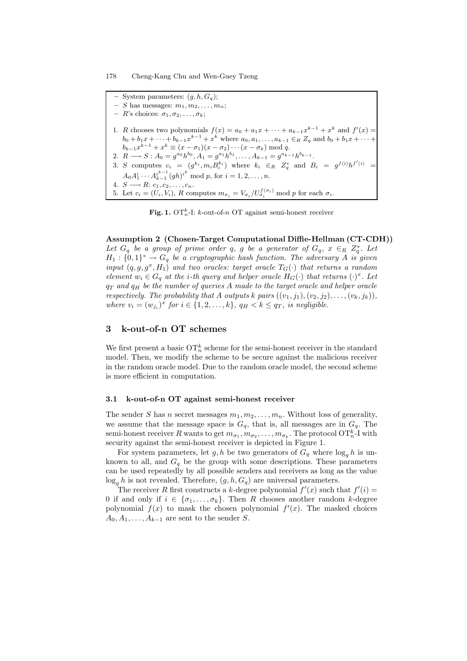System parameters:  $(g, h, G_g);$ S has messages:  $m_1, m_2, \ldots, m_n$ ;  $- R$ 's choices:  $\sigma_1, \sigma_2, \ldots, \sigma_k$ ; 1. R chooses two polynomials  $f(x) = a_0 + a_1 x + \cdots + a_{k-1} x^{k-1} + x^k$  and  $f'(x) =$  $b_0 + b_1x + \cdots + b_{k-1}x^{k-1} + x^k$  where  $a_0, a_1, \ldots, a_{k-1} \in_R Z_q$  and  $b_0 + b_1x + \cdots + b_k$  $b_{k-1}x^{k-1} + x^k \equiv (x - \sigma_1)(x - \sigma_2) \cdots (x - \sigma_k) \bmod q.$ 2.  $R \longrightarrow S: A_0 = g^{a_0} h^{b_0}, A_1 = g^{a_1} h^{b_1}, \dots, A_{k-1} = g^{a_{k-1}} h^{b_{k-1}}.$ 3. S computes  $c_i = (g^{k_i}, m_i B_i^{k_i})$  where  $k_i \in_R Z_q^*$  and  $B_i = g^{f(i)} h^{f'(i)} =$  $A_0 A_1^i \cdots A_{k-1}^{i^{k-1}}$  $i_{k-1}^{i^{k-1}}(gh)^{i^k} \mod p$ , for  $i = 1, 2, ..., n$ . 4.  $S \longrightarrow R: c_1, c_2, \ldots, c_n$ . 5. Let  $c_i = (U_i, V_i)$ , R computes  $m_{\sigma_i} = V_{\sigma_i}/U_{\sigma_i}^{f(\sigma_i)}$  mod p for each  $\sigma_i$ .

Fig. 1. OT<sup>k</sup><sub>n</sub>-I: k-out-of-n OT against semi-honest receiver

Assumption 2 (Chosen-Target Computational Diffie-Hellman (CT-CDH)) Let  $G_q$  be a group of prime order q, g be a generator of  $G_q$ ,  $x \in_R Z_q^*$ . Let  $H_1: \{0,1\}^* \to G_q$  be a cryptographic hash function. The adversary A is given input  $(q, g, g^x, H_1)$  and two oracles: target oracle  $T_G(\cdot)$  that returns a random element  $w_i \in G_q$  at the *i*-th query and helper oracle  $H_G(\cdot)$  that returns  $(\cdot)^x$ . Let  $q_T$  and  $q_H$  be the number of queries A made to the target oracle and helper oracle respectively. The probability that A outputs k pairs  $((v_1, j_1), (v_2, j_2), \ldots, (v_k, j_k)),$ where  $v_i = (w_{j_i})^x$  for  $i \in \{1, 2, \ldots, k\}$ ,  $q_H < k \leq q_T$ , is negligible.

# 3 k-out-of-n OT schemes

We first present a basic  $\mathrm{OT}_n^k$  scheme for the semi-honest receiver in the standard model. Then, we modify the scheme to be secure against the malicious receiver in the random oracle model. Due to the random oracle model, the second scheme is more efficient in computation.

### 3.1 k-out-of-n OT against semi-honest receiver

The sender S has n secret messages  $m_1, m_2, \ldots, m_n$ . Without loss of generality, we assume that the message space is  $G_q$ , that is, all messages are in  $G_q$ . The semi-honest receiver R wants to get  $m_{\sigma_1}, m_{\sigma_2}, \ldots, m_{\sigma_k}$ . The protocol  $\mathrm{OT}_n^k$ -I with security against the semi-honest receiver is depicted in Figure 1.

For system parameters, let g, h be two generators of  $G_q$  where  $\log_q h$  is unknown to all, and  $G_q$  be the group with some descriptions. These parameters can be used repeatedly by all possible senders and receivers as long as the value  $\log_g h$  is not revealed. Therefore,  $(g, h, G_q)$  are universal parameters.

The receiver R first constructs a k-degree polynomial  $f'(x)$  such that  $f'(i)$ 0 if and only if  $i \in \{\sigma_1, \ldots, \sigma_k\}$ . Then R chooses another random k-degree polynomial  $f(x)$  to mask the chosen polynomial  $f'(x)$ . The masked choices  $A_0, A_1, \ldots, A_{k-1}$  are sent to the sender S.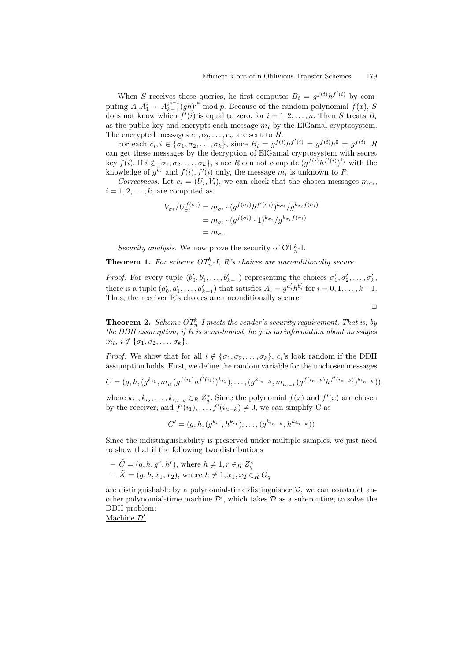When S receives these queries, he first computes  $B_i = g^{f(i)} h^{f'(i)}$  by computing  $A_0 A_1^i \cdots A_{k-1}^{i^{k-1}}$  $\sum_{k=1}^{i^{k-1}} (gh)^{i^k}$  mod p. Because of the random polynomial  $f(x)$ , S does not know which  $f'(i)$  is equal to zero, for  $i = 1, 2, ..., n$ . Then S treats  $B_i$ as the public key and encrypts each message  $m_i$  by the ElGamal cryptosystem. The encrypted messages  $c_1, c_2, \ldots, c_n$  are sent to R.

For each  $c_i, i \in {\sigma_1, \sigma_2, ..., \sigma_k}$ , since  $B_i = g^{f(i)}h^{f'(i)} = g^{f(i)}h^0 = g^{f(i)}$ , R can get these messages by the decryption of ElGamal cryptosystem with secret key  $f(i)$ . If  $i \notin {\sigma_1, \sigma_2, ..., \sigma_k}$ , since R can not compute  $(g^{f(i)}h^{f'(i)})^{k_i}$  with the knowledge of  $g^{k_i}$  and  $f(i)$ ,  $f'(i)$  only, the message  $m_i$  is unknown to R.

Correctness. Let  $c_i = (U_i, V_i)$ , we can check that the chosen messages  $m_{\sigma_i}$ ,  $i = 1, 2, \ldots, k$ , are computed as

$$
V_{\sigma_i}/U_{\sigma_i}^{f(\sigma_i)} = m_{\sigma_i} \cdot (g^{f(\sigma_i)}h^{f'(\sigma_i)})^{k_{\sigma_i}}/g^{k_{\sigma_i}f(\sigma_i)}
$$

$$
= m_{\sigma_i} \cdot (g^{f(\sigma_i)} \cdot 1)^{k_{\sigma_i}}/g^{k_{\sigma_i}f(\sigma_i)}
$$

$$
= m_{\sigma_i}.
$$

Security analysis. We now prove the security of  $\mathrm{OT}_n^k$ -I.

**Theorem 1.** For scheme  $OT_n^k$ -I, R's choices are unconditionally secure.

*Proof.* For every tuple  $(b'_0, b'_1, \ldots, b'_{k-1})$  representing the choices  $\sigma'_1, \sigma'_2, \ldots, \sigma'_k$ ,  $k-1$ there is a tuple  $(a'_0, a'_1, \ldots, a'_{k-1})$  that satisfies  $A_i = g^{a'_i} h^{b'_i}$  for  $i = 0, 1, \ldots, k-1$ . Thus, the receiver R's choices are unconditionally secure.

 $\Box$ 

**Theorem 2.** Scheme  $OT_n^k$ -I meets the sender's security requirement. That is, by the DDH assumption, if  $R$  is semi-honest, he gets no information about messages  $m_i, i \notin {\sigma_1, \sigma_2, \ldots, \sigma_k}.$ 

*Proof.* We show that for all  $i \notin {\sigma_1, \sigma_2, ..., \sigma_k}$ ,  $c_i$ 's look random if the DDH assumption holds. First, we define the random variable for the unchosen messages

$$
C = (g, h, (g^{k_{i_1}}, m_{i_1}(g^{f(i_1)}h^{f'(i_1)})^{k_{i_1}}), \ldots, (g^{k_{i_{n-k}}}, m_{i_{n-k}}(g^{f(i_{n-k}}h^{f'(i_{n-k}}))^{k_{i_{n-k}}})),
$$

where  $k_{i_1}, k_{i_2}, \ldots, k_{i_{n-k}} \in_R Z_q^*$ . Since the polynomial  $f(x)$  and  $f'(x)$  are chosen by the receiver, and  $f'(i_1), \ldots, f'(i_{n-k}) \neq 0$ , we can simplify C as

$$
C' = (g, h, (g^{k_{i_1}}, h^{k_{i_1}}), \ldots, (g^{k_{i_{n-k}}}, h^{k_{i_{n-k}}}))
$$

Since the indistinguishability is preserved under multiple samples, we just need to show that if the following two distributions

$$
- \tilde{C} = (g, h, g^r, h^r), \text{ where } h \neq 1, r \in_R Z_q^*
$$
  
- 
$$
\tilde{X} = (g, h, x_1, x_2), \text{ where } h \neq 1, x_1, x_2 \in_R G_q
$$

are distinguishable by a polynomial-time distinguisher  $\mathcal{D}$ , we can construct another polynomial-time machine  $\mathcal{D}'$ , which takes  $\mathcal D$  as a sub-routine, to solve the DDH problem:

Machine $\mathcal{D}'$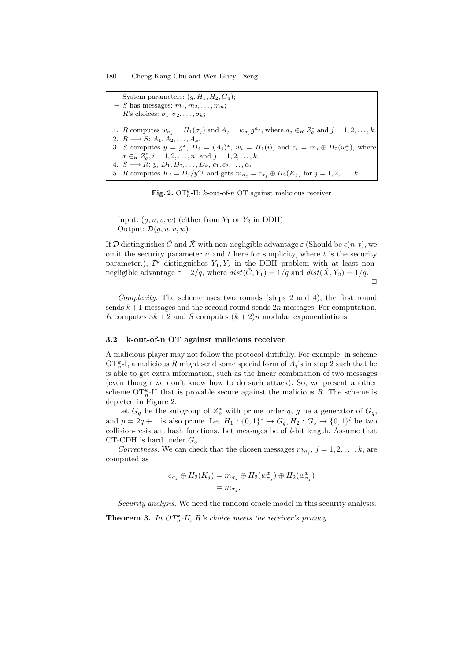System parameters:  $(g, H_1, H_2, G_g);$  $- S$  has messages:  $m_1, m_2, \ldots, m_n;$  $- R$ 's choices:  $\sigma_1, \sigma_2, \ldots, \sigma_k;$ 1. R computes  $w_{\sigma_j} = H_1(\sigma_j)$  and  $A_j = w_{\sigma_j} g^{a_j}$ , where  $a_j \in R Z_q^*$  and  $j = 1, 2, ..., k$ . 2.  $R \longrightarrow S: A_1, A_2, \ldots, A_k$ . 3. S computes  $y = g^x$ ,  $D_j = (A_j)^x$ ,  $w_i = H_1(i)$ , and  $c_i = m_i \oplus H_2(w_i^x)$ , where  $x \in_R Z_q^*, i = 1, 2, \ldots, n$ , and  $j = 1, 2, \ldots, k$ . 4.  $S \longrightarrow R: y, D_1, D_2, \ldots, D_k, c_1, c_2, \ldots, c_n$ 5. R computes  $K_j = D_j/y^{a_j}$  and gets  $m_{\sigma_j} = c_{\sigma_j} \oplus H_2(K_j)$  for  $j = 1, 2, ..., k$ .

Fig. 2. OT<sup>k</sup><sub>n</sub>-II: k-out-of-n OT against malicious receiver

Input:  $(q, u, v, w)$  (either from  $Y_1$  or  $Y_2$  in DDH) Output:  $\mathcal{D}(q, u, v, w)$ 

If D distinguishes  $\tilde{C}$  and  $\tilde{X}$  with non-negligible advantage  $\varepsilon$  (Should be  $\varepsilon(n,t)$ , we omit the security parameter  $n$  and  $t$  here for simplicity, where  $t$  is the security parameter.),  $\mathcal{D}'$  distinguishes  $Y_1, Y_2$  in the DDH problem with at least nonnegligible advantage  $\varepsilon - 2/q$ , where  $dist(\tilde{C}, Y_1) = 1/q$  and  $dist(\tilde{X}, Y_2) = 1/q$ .  $\Box$ 

Complexity. The scheme uses two rounds (steps  $2$  and  $4$ ), the first round sends  $k+1$  messages and the second round sends  $2n$  messages. For computation, R computes  $3k + 2$  and S computes  $(k + 2)n$  modular exponentiations.

## 3.2 k-out-of-n OT against malicious receiver

A malicious player may not follow the protocol dutifully. For example, in scheme OT<sup>k</sup><sub>n</sub>-I, a malicious R might send some special form of  $A_i$ 's in step 2 such that he is able to get extra information, such as the linear combination of two messages (even though we don't know how to do such attack). So, we present another scheme  $\{OT_n^k\}$ -II that is provable secure against the malicious R. The scheme is depicted in Figure 2.

Let  $G_q$  be the subgroup of  $Z_p^*$  with prime order q, g be a generator of  $G_q$ , and  $p = 2q + 1$  is also prime. Let  $H_1 : \{0, 1\}^* \to G_q, H_2 : G_q \to \{0, 1\}^l$  be two collision-resistant hash functions. Let messages be of l-bit length. Assume that CT-CDH is hard under  $G_q$ .

Correctness. We can check that the chosen messages  $m_{\sigma_j}$ ,  $j = 1, 2, ..., k$ , are computed as

$$
c_{\sigma_j} \oplus H_2(K_j) = m_{\sigma_j} \oplus H_2(w_{\sigma_j}^x) \oplus H_2(w_{\sigma_j}^x)
$$
  
=  $m_{\sigma_j}$ .

Security analysis. We need the random oracle model in this security analysis.

**Theorem 3.** In  $OT_n^k$ -II, R's choice meets the receiver's privacy.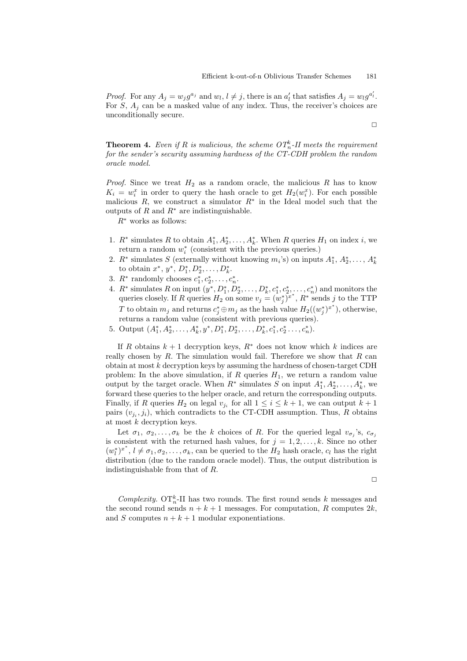*Proof.* For any  $A_j = w_j g^{a_j}$  and  $w_l, l \neq j$ , there is an  $a'_l$  that satisfies  $A_j = w_l g^{a'_l}$ . For  $S$ ,  $A_j$  can be a masked value of any index. Thus, the receiver's choices are unconditionally secure.

 $\Box$ 

**Theorem 4.** Even if R is malicious, the scheme  $OT_n^k$ -II meets the requirement for the sender's security assuming hardness of the CT-CDH problem the random oracle model.

*Proof.* Since we treat  $H_2$  as a random oracle, the malicious R has to know  $K_i = w_i^x$  in order to query the hash oracle to get  $H_2(w_i^x)$ . For each possible malicious R, we construct a simulator  $R^*$  in the Ideal model such that the outputs of R and  $R^*$  are indistinguishable.

 $R^*$  works as follows:

- 1.  $R^*$  simulates R to obtain  $A_1^*, A_2^*, \ldots, A_k^*$ . When R queries  $H_1$  on index i, we return a random  $w_i^*$  (consistent with the previous queries.)
- 2.  $R^*$  simulates S (externally without knowing  $m_i$ 's) on inputs  $A_1^*, A_2^*, \ldots, A_k^*$ to obtain  $x^*, y^*, D_1^*, D_2^*, \ldots, D_k^*.$
- 3.  $R^*$  randomly chooses  $c_1^*, c_2^*, \ldots, c_n^*$ .
- 4.  $R^*$  simulates R on input  $(y^*, D_1^*, D_2^*, \ldots, D_k^*, c_1^*, c_2^*, \ldots, c_n^*)$  and monitors the queries closely. If R queries  $H_2$  on some  $v_j = (w_j^*)^{x^*}$ ,  $R^*$  sends j to the TTP T to obtain  $m_j$  and returns  $c_j^* \oplus m_j$  as the hash value  $H_2((w_j^*)^{x^*})$ , otherwise, returns a random value (consistent with previous queries).
- 5. Output  $(A_1^*, A_2^*, \ldots, A_k^*, y^*, D_1^*, D_2^*, \ldots, D_k^*, c_1^*, c_2^*, \ldots, c_n^*).$

If R obtains  $k + 1$  decryption keys,  $R^*$  does not know which k indices are really chosen by  $R$ . The simulation would fail. Therefore we show that  $R$  can obtain at most  $k$  decryption keys by assuming the hardness of chosen-target CDH problem: In the above simulation, if R queries  $H_1$ , we return a random value output by the target oracle. When  $R^*$  simulates S on input  $A_1^*, A_2^*, \ldots, A_k^*$ , we forward these queries to the helper oracle, and return the corresponding outputs. Finally, if R queries  $H_2$  on legal  $v_{j_i}$  for all  $1 \leq i \leq k+1$ , we can output  $k+1$ pairs  $(v_{j_i}, j_i)$ , which contradicts to the CT-CDH assumption. Thus, R obtains at most  $k$  decryption keys.

Let  $\sigma_1, \sigma_2, \ldots, \sigma_k$  be the k choices of R. For the queried legal  $v_{\sigma_j}$ 's,  $c_{\sigma_j}$ is consistent with the returned hash values, for  $j = 1, 2, \ldots, k$ . Since no other  $(w_l^*)^{x^*}, l \neq \sigma_1, \sigma_2, \ldots, \sigma_k$ , can be queried to the  $H_2$  hash oracle,  $c_l$  has the right distribution (due to the random oracle model). Thus, the output distribution is indistinguishable from that of R.

$$
\Box
$$

Complexity.  $\{OT_n^k \}$ II has two rounds. The first round sends k messages and the second round sends  $n + k + 1$  messages. For computation, R computes  $2k$ , and S computes  $n + k + 1$  modular exponentiations.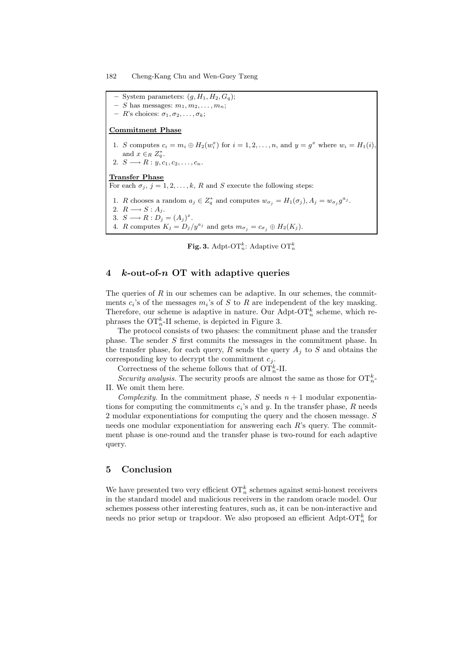System parameters:  $(g, H_1, H_2, G_g);$ S has messages:  $m_1, m_2, \ldots, m_n$ ;  $- R$ 's choices:  $\sigma_1, \sigma_2, \ldots, \sigma_k;$ Commitment Phase 1. S computes  $c_i = m_i \oplus H_2(w_i^x)$  for  $i = 1, 2, ..., n$ , and  $y = g^x$  where  $w_i = H_1(i)$ , and  $x \in_R Z_q^*$ . 2.  $S \longrightarrow R: y, c_1, c_2, \ldots, c_n$ . Transfer Phase For each  $\sigma_i$ ,  $j = 1, 2, \ldots, k$ , R and S execute the following steps: 1. R chooses a random  $a_j \in Z_q^*$  and computes  $w_{\sigma_j} = H_1(\sigma_j)$ ,  $A_j = w_{\sigma_j} g^{a_j}$ . 2.  $R \longrightarrow S : A_j$ . 3.  $S \longrightarrow R : D_j = (A_j)^x$ . 4. R computes  $K_j = D_j/y^{a_j}$  and gets  $m_{\sigma_j} = c_{\sigma_j} \oplus H_2(K_j)$ .

**Fig. 3.** Adpt-O $\mathrm{T}_n^k$ : Adaptive O $\mathrm{T}_n^k$ 

# 4 k-out-of- $n$  OT with adaptive queries

The queries of  $R$  in our schemes can be adaptive. In our schemes, the commitments  $c_i$ 's of the messages  $m_i$ 's of S to R are independent of the key masking. Therefore, our scheme is adaptive in nature. Our Adpt-OT<sup>k</sup> scheme, which rephrases the  $\mathrm{OT}_n^k$ -II scheme, is depicted in Figure 3.

The protocol consists of two phases: the commitment phase and the transfer phase. The sender S first commits the messages in the commitment phase. In the transfer phase, for each query, R sends the query  $A_i$  to S and obtains the corresponding key to decrypt the commitment  $c_j$ .

Correctness of the scheme follows that of  $\mathrm{OT}_n^k$ -II.

Security analysis. The security proofs are almost the same as those for  $\{OT\}^k_{n}$ . II. We omit them here.

Complexity. In the commitment phase, S needs  $n + 1$  modular exponentiations for computing the commitments  $c_i$ 's and y. In the transfer phase, R needs 2 modular exponentiations for computing the query and the chosen message. S needs one modular exponentiation for answering each  $R$ 's query. The commitment phase is one-round and the transfer phase is two-round for each adaptive query.

## 5 Conclusion

We have presented two very efficient  $\mathrm{OT}_n^k$  schemes against semi-honest receivers in the standard model and malicious receivers in the random oracle model. Our schemes possess other interesting features, such as, it can be non-interactive and needs no prior setup or trapdoor. We also proposed an efficient  $\mathrm{Adpt}\text{-}\mathrm{OT}^k_n$  for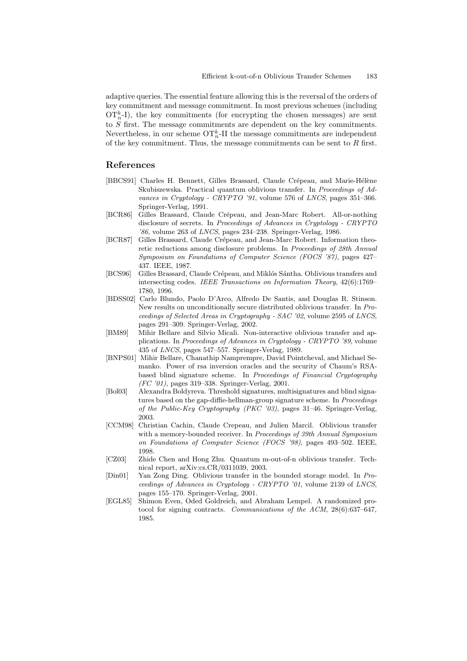adaptive queries. The essential feature allowing this is the reversal of the orders of key commitment and message commitment. In most previous schemes (including  $\mathrm{OT}_n^k$ -I), the key commitments (for encrypting the chosen messages) are sent to  $S$  first. The message commitments are dependent on the key commitments. Nevertheless, in our scheme  $\mathrm{OT}_n^k$ -II the message commitments are independent of the key commitment. Thus, the message commitments can be sent to  $R$  first.

# References

- [BBCS91] Charles H. Bennett, Gilles Brassard, Claude Crépeau, and Marie-Hélène Skubiszewska. Practical quantum oblivious transfer. In Proceedings of Advances in Cryptology - CRYPTO '91, volume 576 of LNCS, pages 351-366. Springer-Verlag, 1991.
- [BCR86] Gilles Brassard, Claude Crépeau, and Jean-Marc Robert. All-or-nothing disclosure of secrets. In Proceedings of Advances in Cryptology - CRYPTO  $'86$ , volume 263 of *LNCS*, pages 234–238. Springer-Verlag, 1986.
- [BCR87] Gilles Brassard, Claude Crépeau, and Jean-Marc Robert. Information theoretic reductions among disclosure problems. In Proceedings of 28th Annual Symposium on Foundations of Computer Science (FOCS '87), pages 427– 437. IEEE, 1987.
- [BCS96] Gilles Brassard, Claude Crépeau, and Miklós Sántha. Oblivious transfers and intersecting codes. IEEE Transactions on Information Theory, 42(6):1769– 1780, 1996.
- [BDSS02] Carlo Blundo, Paolo D'Arco, Alfredo De Santis, and Douglas R. Stinson. New results on unconditionally secure distributed oblivious transfer. In Proceedings of Selected Areas in Cryptography - SAC '02, volume 2595 of LNCS, pages 291–309. Springer-Verlag, 2002.
- [BM89] Mihir Bellare and Silvio Micali. Non-interactive oblivious transfer and applications. In Proceedings of Advances in Cryptology - CRYPTO '89, volume 435 of LNCS, pages 547–557. Springer-Verlag, 1989.
- [BNPS01] Mihir Bellare, Chanathip Namprempre, David Pointcheval, and Michael Semanko. Power of rsa inversion oracles and the security of Chaum's RSAbased blind signature scheme. In Proceedings of Financial Cryptography (FC '01), pages 319–338. Springer-Verlag, 2001.
- [Bol03] Alexandra Boldyreva. Threshold signatures, multisignatures and blind signatures based on the gap-diffie-hellman-group signature scheme. In *Proceedings* of the Public-Key Cryptography (PKC '03), pages 31–46. Springer-Verlag, 2003.
- [CCM98] Christian Cachin, Claude Crepeau, and Julien Marcil. Oblivious transfer with a memory-bounded receiver. In Proceedings of 39th Annual Symposium on Foundations of Computer Science (FOCS '98), pages 493–502. IEEE, 1998.
- [CZ03] Zhide Chen and Hong Zhu. Quantum m-out-of-n oblivious transfer. Technical report, arXiv:cs.CR/0311039, 2003.
- [Din01] Yan Zong Ding. Oblivious transfer in the bounded storage model. In Proceedings of Advances in Cryptology - CRYPTO '01, volume 2139 of LNCS, pages 155–170. Springer-Verlag, 2001.
- [EGL85] Shimon Even, Oded Goldreich, and Abraham Lempel. A randomized protocol for signing contracts. Communications of the ACM, 28(6):637–647, 1985.